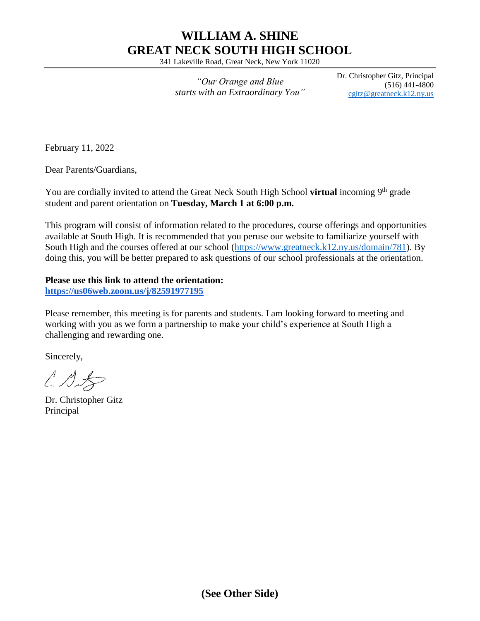# **WILLIAM A. SHINE GREAT NECK SOUTH HIGH SCHOOL**

341 Lakeville Road, Great Neck, New York 11020

*"Our Orange and Blue starts with an Extraordinary You"* Dr. Christopher Gitz, Principal (516) 441-4800 [cgitz@greatneck.k12.ny.us](mailto:cgitz@greatneck.k12.ny.us)

February 11, 2022

Dear Parents/Guardians,

You are cordially invited to attend the Great Neck South High School **virtual** incoming 9<sup>th</sup> grade student and parent orientation on **Tuesday, March 1 at 6:00 p.m.**

This program will consist of information related to the procedures, course offerings and opportunities available at South High. It is recommended that you peruse our website to familiarize yourself with South High and the courses offered at our school [\(https://www.greatneck.k12.ny.us/domain/781\)](https://www.greatneck.k12.ny.us/domain/781). By doing this, you will be better prepared to ask questions of our school professionals at the orientation.

#### **Please use this link to attend the orientation:**

**<https://us06web.zoom.us/j/82591977195>**

Please remember, this meeting is for parents and students. I am looking forward to meeting and working with you as we form a partnership to make your child's experience at South High a challenging and rewarding one.

Sincerely,

 $\angle$  $\triangle$ 

Dr. Christopher Gitz Principal